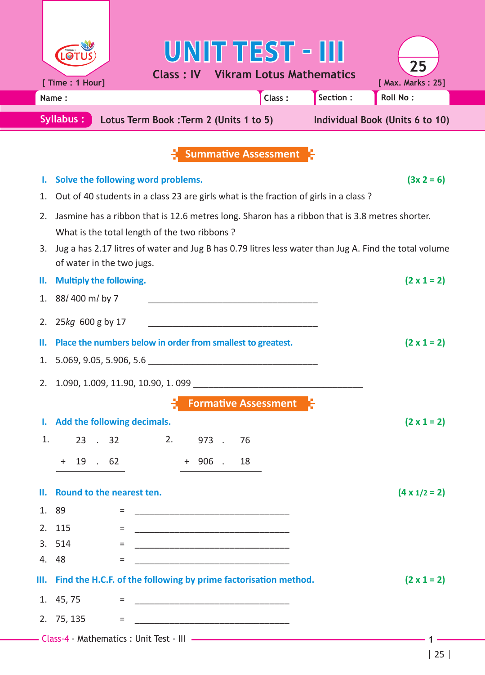|                                                                                                | UNIT TEST - III                                                                                                                                |                         |  |  |  |
|------------------------------------------------------------------------------------------------|------------------------------------------------------------------------------------------------------------------------------------------------|-------------------------|--|--|--|
|                                                                                                | <b>Class: IV Vikram Lotus Mathematics</b><br>[ Time : 1 Hour]                                                                                  | 25<br>[ Max. Marks: 25] |  |  |  |
|                                                                                                | Section :<br>Class:<br><b>Roll No:</b><br>Name:                                                                                                |                         |  |  |  |
| <b>Syllabus:</b><br>Lotus Term Book : Term 2 (Units 1 to 5)<br>Individual Book (Units 6 to 10) |                                                                                                                                                |                         |  |  |  |
|                                                                                                |                                                                                                                                                |                         |  |  |  |
|                                                                                                | <b>Summative Assessment</b>                                                                                                                    |                         |  |  |  |
| ι.                                                                                             | Solve the following word problems.                                                                                                             | $(3x 2 = 6)$            |  |  |  |
| 1.                                                                                             | Out of 40 students in a class 23 are girls what is the fraction of girls in a class?                                                           |                         |  |  |  |
| 2.                                                                                             | Jasmine has a ribbon that is 12.6 metres long. Sharon has a ribbon that is 3.8 metres shorter.<br>What is the total length of the two ribbons? |                         |  |  |  |
| 3.                                                                                             | Jug a has 2.17 litres of water and Jug B has 0.79 litres less water than Jug A. Find the total volume<br>of water in the two jugs.             |                         |  |  |  |
| н.                                                                                             | <b>Multiply the following.</b>                                                                                                                 | $(2 \times 1 = 2)$      |  |  |  |
| 1.                                                                                             | 88/400 m/ by 7                                                                                                                                 |                         |  |  |  |
| 2.                                                                                             | 25kg 600 g by 17                                                                                                                               |                         |  |  |  |
| П.                                                                                             | Place the numbers below in order from smallest to greatest.                                                                                    | $(2 \times 1 = 2)$      |  |  |  |
| 1.                                                                                             |                                                                                                                                                |                         |  |  |  |
| 2.                                                                                             | 1.090, 1.009, 11.90, 10.90, 1.099                                                                                                              |                         |  |  |  |
|                                                                                                | <b>Formative Assessment</b>                                                                                                                    |                         |  |  |  |
|                                                                                                | I. Add the following decimals.                                                                                                                 | $(2 \times 1 = 2)$      |  |  |  |
| 1.                                                                                             | 2.<br>23 . 32<br>973.<br>76                                                                                                                    |                         |  |  |  |
|                                                                                                | 19 . 62<br>$+ 906$ . 18<br>$+$                                                                                                                 |                         |  |  |  |
| н.                                                                                             | Round to the nearest ten.                                                                                                                      | $(4 \times 1/2 = 2)$    |  |  |  |
|                                                                                                | 1. 89<br>=                                                                                                                                     |                         |  |  |  |
|                                                                                                | 2. 115<br>$=$                                                                                                                                  |                         |  |  |  |
|                                                                                                | 3. 514<br>$=$                                                                                                                                  |                         |  |  |  |
|                                                                                                | 4. 48<br>$=$                                                                                                                                   |                         |  |  |  |
|                                                                                                | III. Find the H.C.F. of the following by prime factorisation method.                                                                           | $(2 \times 1 = 2)$      |  |  |  |
|                                                                                                | 1. 45, 75<br>$=$                                                                                                                               |                         |  |  |  |
|                                                                                                | 2. 75, 135<br>$=$                                                                                                                              |                         |  |  |  |
|                                                                                                |                                                                                                                                                |                         |  |  |  |

25